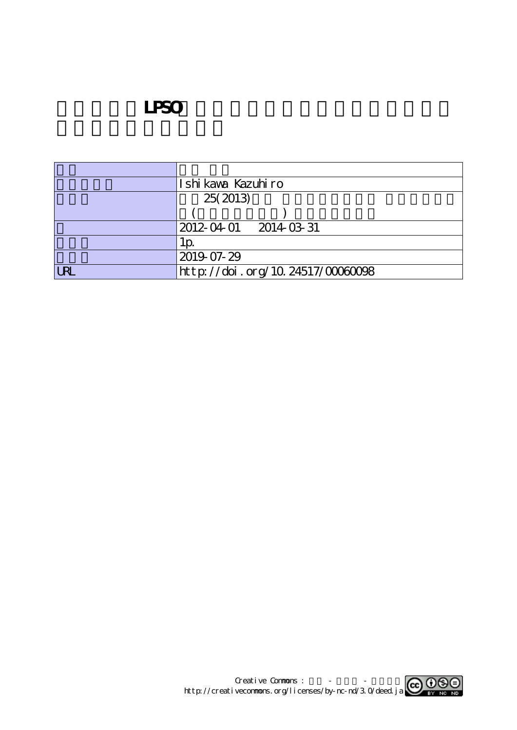## **LPSO**

|     | Ishi kaya Kazuhiro               |
|-----|----------------------------------|
|     | 25(2013)                         |
|     |                                  |
|     | 2012-04-01 2014-03-31            |
|     | LD.                              |
|     | 2019-07-29                       |
| IRI | http://doi.org/10.24517/00060098 |